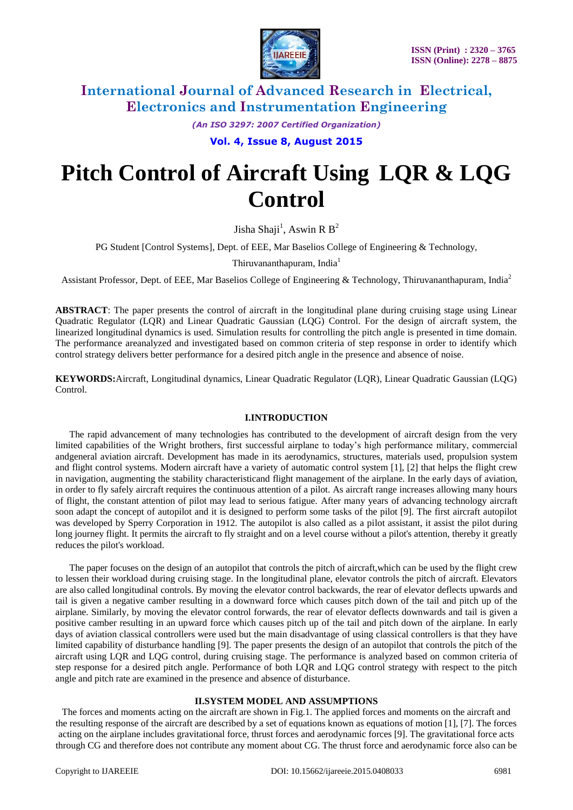

*(An ISO 3297: 2007 Certified Organization)*

**Vol. 4, Issue 8, August 2015**

# **Pitch Control of Aircraft Using LQR & LQG Control**

Jisha Shaji<sup>1</sup>, Aswin R B<sup>2</sup>

PG Student [Control Systems], Dept. of EEE, Mar Baselios College of Engineering & Technology,

Thiruvananthapuram, India<sup>1</sup>

Assistant Professor, Dept. of EEE, Mar Baselios College of Engineering & Technology, Thiruvananthapuram, India<sup>2</sup>

**ABSTRACT**: The paper presents the control of aircraft in the longitudinal plane during cruising stage using Linear Quadratic Regulator (LQR) and Linear Quadratic Gaussian (LQG) Control. For the design of aircraft system, the linearized longitudinal dynamics is used. Simulation results for controlling the pitch angle is presented in time domain. The performance areanalyzed and investigated based on common criteria of step response in order to identify which control strategy delivers better performance for a desired pitch angle in the presence and absence of noise.

**KEYWORDS:**Aircraft, Longitudinal dynamics, Linear Quadratic Regulator (LQR), Linear Quadratic Gaussian (LQG) Control.

#### **I.INTRODUCTION**

The rapid advancement of many technologies has contributed to the development of aircraft design from the very limited capabilities of the Wright brothers, first successful airplane to today"s high performance military, commercial andgeneral aviation aircraft. Development has made in its aerodynamics, structures, materials used, propulsion system and flight control systems. Modern aircraft have a variety of automatic control system [1], [2] that helps the flight crew in navigation, augmenting the stability characteristicand flight management of the airplane. In the early days of aviation, in order to fly safely aircraft requires the continuous attention of a pilot. As aircraft range increases allowing many hours of flight, the constant attention of pilot may lead to serious fatigue. After many years of advancing technology aircraft soon adapt the concept of autopilot and it is designed to perform some tasks of the pilot [9]. The first aircraft autopilot was developed by Sperry Corporation in 1912. The autopilot is also called as a pilot assistant, it assist the pilot during long journey flight. It permits the aircraft to fly straight and on a level course without a pilot's attention, thereby it greatly reduces the pilot's workload.

The paper focuses on the design of an autopilot that controls the pitch of aircraft,which can be used by the flight crew to lessen their workload during cruising stage. In the longitudinal plane, elevator controls the pitch of aircraft. Elevators are also called longitudinal controls. By moving the elevator control backwards, the rear of elevator deflects upwards and tail is given a negative camber resulting in a downward force which causes pitch down of the tail and pitch up of the airplane. Similarly, by moving the elevator control forwards, the rear of elevator deflects downwards and tail is given a positive camber resulting in an upward force which causes pitch up of the tail and pitch down of the airplane. In early days of aviation classical controllers were used but the main disadvantage of using classical controllers is that they have limited capability of disturbance handling [9]. The paper presents the design of an autopilot that controls the pitch of the aircraft using LQR and LQG control, during cruising stage. The performance is analyzed based on common criteria of step response for a desired pitch angle. Performance of both LQR and LQG control strategy with respect to the pitch angle and pitch rate are examined in the presence and absence of disturbance.

#### **II.SYSTEM MODEL AND ASSUMPTIONS**

The forces and moments acting on the aircraft are shown in Fig.1. The applied forces and moments on the aircraft and the resulting response of the aircraft are described by a set of equations known as equations of motion [1], [7]. The forces acting on the airplane includes gravitational force, thrust forces and aerodynamic forces [9]. The gravitational force acts through CG and therefore does not contribute any moment about CG. The thrust force and aerodynamic force also can be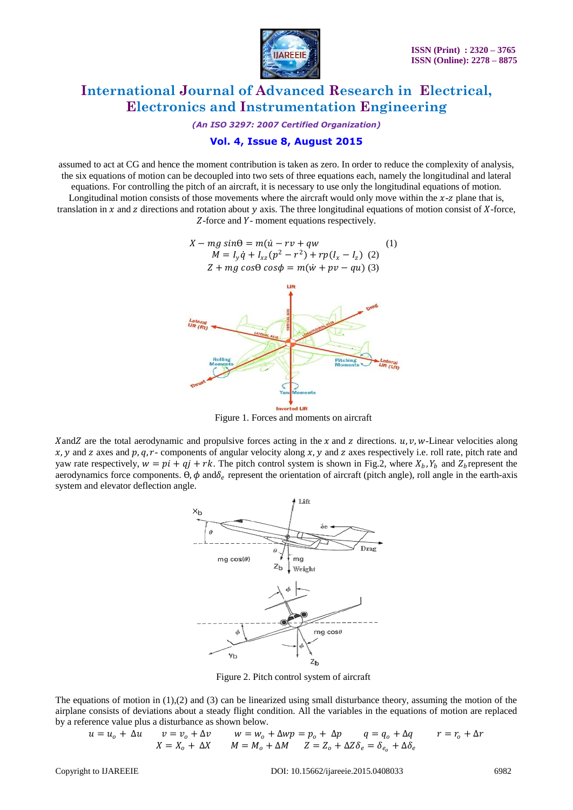

*(An ISO 3297: 2007 Certified Organization)*

### **Vol. 4, Issue 8, August 2015**

assumed to act at CG and hence the moment contribution is taken as zero. In order to reduce the complexity of analysis, the six equations of motion can be decoupled into two sets of three equations each, namely the longitudinal and lateral equations. For controlling the pitch of an aircraft, it is necessary to use only the longitudinal equations of motion. Longitudinal motion consists of those movements where the aircraft would only move within the  $x$ -z plane that is, translation in  $x$  and  $z$  directions and rotation about  $y$  axis. The three longitudinal equations of motion consist of  $X$ -force, Z-force and Y- moment equations respectively.



Figure 1. Forces and moments on aircraft

X and Z are the total aerodynamic and propulsive forces acting in the  $x$  and  $z$  directions.  $u, v, w$ -Linear velocities along x, y and z axes and  $p$ ,  $q$ ,  $r$ - components of angular velocity along x, y and z axes respectively i.e. roll rate, pitch rate and yaw rate respectively,  $w = pi + qi + rk$ . The pitch control system is shown in Fig.2, where  $X_b$ ,  $Y_b$  and  $Z_b$  represent the aerodynamics force components.  $\theta$ ,  $\phi$  and  $\delta_e$  represent the orientation of aircraft (pitch angle), roll angle in the earth-axis system and elevator deflection angle.



Figure 2. Pitch control system of aircraft

The equations of motion in  $(1)$ , $(2)$  and  $(3)$  can be linearized using small disturbance theory, assuming the motion of the airplane consists of deviations about a steady flight condition. All the variables in the equations of motion are replaced by a reference value plus a disturbance as shown below.

 $u = u_o + \Delta u$   $v = v_o + \Delta v$   $w = w_o + \Delta w p = p_o + \Delta p$   $q = q_o + \Delta q$   $r = r_o + \Delta r$  $X = X_o + \Delta X$   $M = M_o + \Delta M$   $Z = Z_o + \Delta Z \delta_e = \delta_{e_o} + \Delta \delta_e$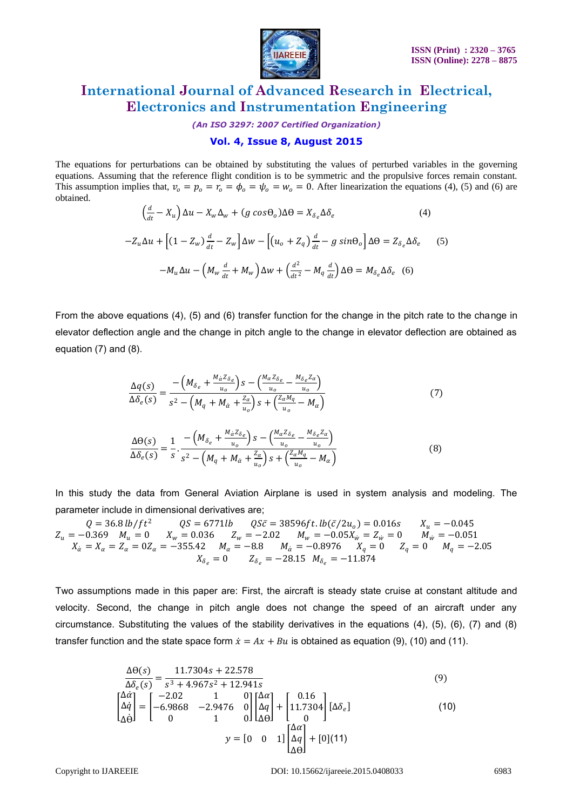

*(An ISO 3297: 2007 Certified Organization)*

### **Vol. 4, Issue 8, August 2015**

The equations for perturbations can be obtained by substituting the values of perturbed variables in the governing equations. Assuming that the reference flight condition is to be symmetric and the propulsive forces remain constant. This assumption implies that,  $v_0 = p_0 = r_0 = \phi_0 = \psi_0 = w_0 = 0$ . After linearization the equations (4), (5) and (6) are obtained.

$$
\left(\frac{d}{dt} - X_u\right)\Delta u - X_w\Delta_w + (g\cos\theta_o)\Delta\theta = X_{\delta_e}\Delta\delta_e
$$
\n
$$
-Z_u\Delta u + \left[ (1 - Z_w)\frac{d}{dt} - Z_w \right]\Delta w - \left[ (u_o + Z_q)\frac{d}{dt} - g\sin\theta_o \right]\Delta\theta = Z_{\delta_e}\Delta\delta_e
$$
\n
$$
-M_u\Delta u - \left( M_w\frac{d}{dt} + M_w \right)\Delta w + \left( \frac{d^2}{dt^2} - M_q\frac{d}{dt} \right)\Delta\theta = M_{\delta_e}\Delta\delta_e
$$
\n
$$
(5)
$$

From the above equations (4), (5) and (6) transfer function for the change in the pitch rate to the change in elevator deflection angle and the change in pitch angle to the change in elevator deflection are obtained as equation (7) and (8).

$$
\frac{\Delta q(s)}{\Delta \delta_e(s)} = \frac{-\left(M_{\delta_e} + \frac{M_{\dot{\alpha}} Z_{\delta_e}}{u_o}\right)s - \left(\frac{M_{\alpha} Z_{\delta_e}}{u_o} - \frac{M_{\delta_e} Z_{\alpha}}{u_o}\right)}{s^2 - \left(M_q + M_{\dot{\alpha}} + \frac{Z_{\alpha}}{u_o}\right)s + \left(\frac{Z_{\alpha} M_q}{u_o} - M_{\alpha}\right)}
$$
(7)

$$
\frac{\Delta\Theta(s)}{\Delta\delta_e(s)} = \frac{1}{s} \cdot \frac{-\left(M_{\delta_e} + \frac{M_{\alpha}Z_{\delta_e}}{u_o}\right)s - \left(\frac{M_{\alpha}Z_{\delta_e}}{u_o} - \frac{M_{\delta_e}Z_{\alpha}}{u_o}\right)}{s^2 - \left(M_q + M_{\alpha} + \frac{Z_{\alpha}}{u_o}\right)s + \left(\frac{Z_{\alpha}M_q}{u_o} - M_{\alpha}\right)}
$$
(8)

In this study the data from General Aviation Airplane is used in system analysis and modeling. The parameter include in dimensional derivatives are;

 $Q = 36.8 \, lb/ft^2$   $QS = 6771 lb$   $QS = 38596 ft \, lb(č/2u<sub>o</sub>) = 0.016 s$   $X<sub>u</sub> = -0.045$  $Z_u = -0.369$   $M_u = 0$   $X_w = 0.036$   $Z_w = -2.02$   $M_w = -0.05X_w = Z_w = 0$   $M_w = -0.051$  $X_{\dot{\alpha}} = X_{\alpha} = Z_{\alpha} = 0Z_{\alpha} = -355.42$   $M_{\alpha} = -8.8$   $M_{\dot{\alpha}} = -0.8976$   $X_{q} = 0$   $Z_{q} = 0$   $M_{q} = -2.05$  $X_{\delta_e} = 0$   $Z_{\delta_e} = -28.15$   $M_{\delta_e} = -11.874$ 

Two assumptions made in this paper are: First, the aircraft is steady state cruise at constant altitude and velocity. Second, the change in pitch angle does not change the speed of an aircraft under any circumstance. Substituting the values of the stability derivatives in the equations (4), (5), (6), (7) and (8) transfer function and the state space form  $\dot{x} = Ax + Bu$  is obtained as equation (9), (10) and (11).

$$
\frac{\Delta\Theta(s)}{\Delta\delta_e(s)} = \frac{11.7304s + 22.578}{s^3 + 4.967s^2 + 12.941s}
$$
(9)  

$$
\begin{bmatrix}\n\Delta\dot{\alpha} \\
\Delta\dot{q} \\
\Delta\dot{\theta}\n\end{bmatrix} = \begin{bmatrix}\n-2.02 & 1 & 0 \\
-6.9868 & -2.9476 & 0 \\
0 & 1 & 0\n\end{bmatrix} \begin{bmatrix}\n\Delta\alpha \\
\Delta q \\
\Delta\theta\n\end{bmatrix} + \begin{bmatrix}\n0.16 \\
11.7304 \\
0\n\end{bmatrix} \begin{bmatrix}\n\Delta\delta_e\n\end{bmatrix}
$$
(10)  

$$
y = \begin{bmatrix}\n0 & 0 & 1\n\end{bmatrix} \begin{bmatrix}\n\Delta\alpha \\
\Delta q \\
\Delta\theta\n\end{bmatrix} + \begin{bmatrix}\n0 \cdot 1(1) \\
1 \cdot 0 \cdot 1(1)\n\end{bmatrix}
$$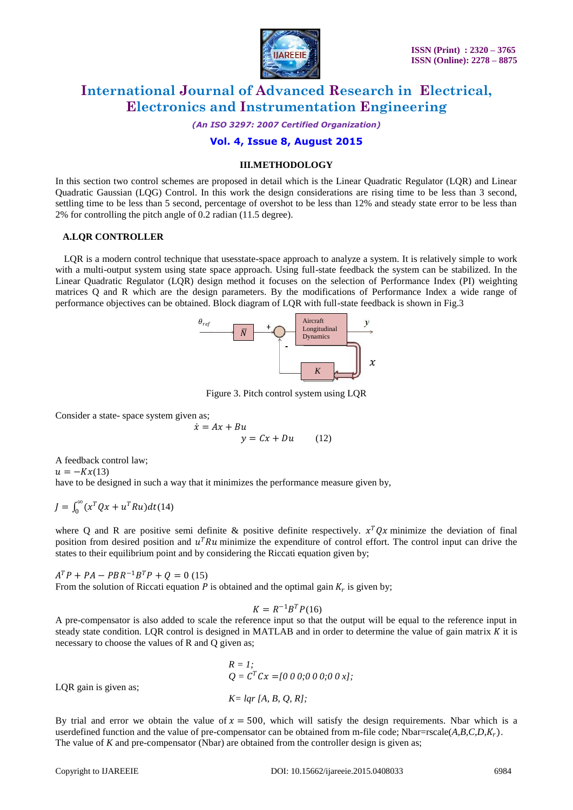

*(An ISO 3297: 2007 Certified Organization)*

### **Vol. 4, Issue 8, August 2015**

#### **III.METHODOLOGY**

In this section two control schemes are proposed in detail which is the Linear Quadratic Regulator (LQR) and Linear Quadratic Gaussian (LQG) Control. In this work the design considerations are rising time to be less than 3 second, settling time to be less than 5 second, percentage of overshot to be less than 12% and steady state error to be less than 2% for controlling the pitch angle of 0.2 radian (11.5 degree).

#### **A.LQR CONTROLLER**

LQR is a modern control technique that usesstate-space approach to analyze a system. It is relatively simple to work with a multi-output system using state space approach. Using full-state feedback the system can be stabilized. In the Linear Quadratic Regulator (LQR) design method it focuses on the selection of Performance Index (PI) weighting matrices Q and R which are the design parameters. By the modifications of Performance Index a wide range of performance objectives can be obtained. Block diagram of LQR with full-state feedback is shown in Fig.3



Figure 3. Pitch control system using LQR

Consider a state- space system given as;

$$
\dot{x} = Ax + Bu
$$
  

$$
y = Cx + Du
$$
 (12)

A feedback control law;

 $u = -Kx(13)$ 

have to be designed in such a way that it minimizes the performance measure given by,

 $J = \int_0^\infty (x^T Q x + u^T R u) dt$  $\int_0^\infty (x^T Q x + u^T R u) dt$ (14)

where Q and R are positive semi definite & positive definite respectively.  $x^T Q x$  minimize the deviation of final position from desired position and  $u^T Ru$  minimize the expenditure of control effort. The control input can drive the states to their equilibrium point and by considering the Riccati equation given by;

$$
A^T P + P A - P B R^{-1} B^T P + Q = 0
$$
 (15)

From the solution of Riccati equation  $P$  is obtained and the optimal gain  $K_r$  is given by;

$$
K = R^{-1}B^T P(16)
$$

A pre-compensator is also added to scale the reference input so that the output will be equal to the reference input in steady state condition. LOR control is designed in MATLAB and in order to determine the value of gain matrix  $K$  it is necessary to choose the values of R and Q given as;

$$
R = 1;
$$
  
\n
$$
Q = C^{T} C x = [0 \ 0 \ 0; 0 \ 0 \ 0; 0 \ 0 \ x];
$$
  
\n
$$
K = lqr [A, B, Q, R];
$$

LQR gain is given as;

By trial and error we obtain the value of  $x = 500$ , which will satisfy the design requirements. Nbar which is a userdefined function and the value of pre-compensator can be obtained from m-file code; Nbar=rscale(*A,B,C,D,K<sub>r</sub>*). The value of *K* and pre-compensator (Nbar) are obtained from the controller design is given as;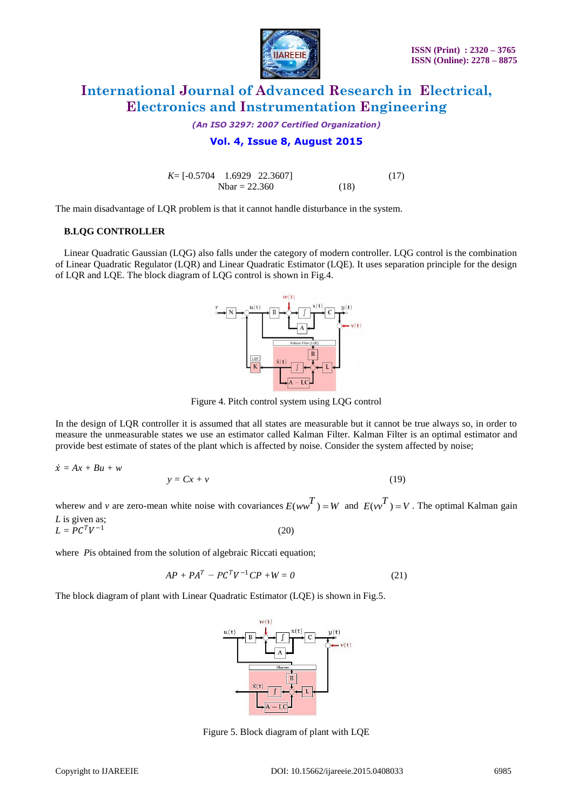

*(An ISO 3297: 2007 Certified Organization)*

### **Vol. 4, Issue 8, August 2015**

*K*= [-0.5704 1.6929 22.3607] (17)  $Nbar = 22.360$  (18)

The main disadvantage of LQR problem is that it cannot handle disturbance in the system.

#### **B.LQG CONTROLLER**

Linear Quadratic Gaussian (LQG) also falls under the category of modern controller. LQG control is the combination of Linear Quadratic Regulator (LQR) and Linear Quadratic Estimator (LQE). It uses separation principle for the design of LQR and LQE. The block diagram of LQG control is shown in Fig.4.



Figure 4. Pitch control system using LQG control

In the design of LQR controller it is assumed that all states are measurable but it cannot be true always so, in order to measure the unmeasurable states we use an estimator called Kalman Filter. Kalman Filter is an optimal estimator and provide best estimate of states of the plant which is affected by noise. Consider the system affected by noise;

 $\dot{x} = Ax + Bu + w$ 

$$
y = Cx + v \tag{19}
$$

wherew and *v* are zero-mean white noise with covariances  $E(ww^T) = W$  and  $E(w^T) = V$ . The optimal Kalman gain *L* is given as;

 $L = PC<sup>T</sup>V<sup>-1</sup>$ (20)

where *P*is obtained from the solution of algebraic Riccati equation;

$$
AP + PAT - PCTV-1CP + W = 0
$$
\n(21)

The block diagram of plant with Linear Quadratic Estimator (LQE) is shown in Fig.5.



Figure 5. Block diagram of plant with LQE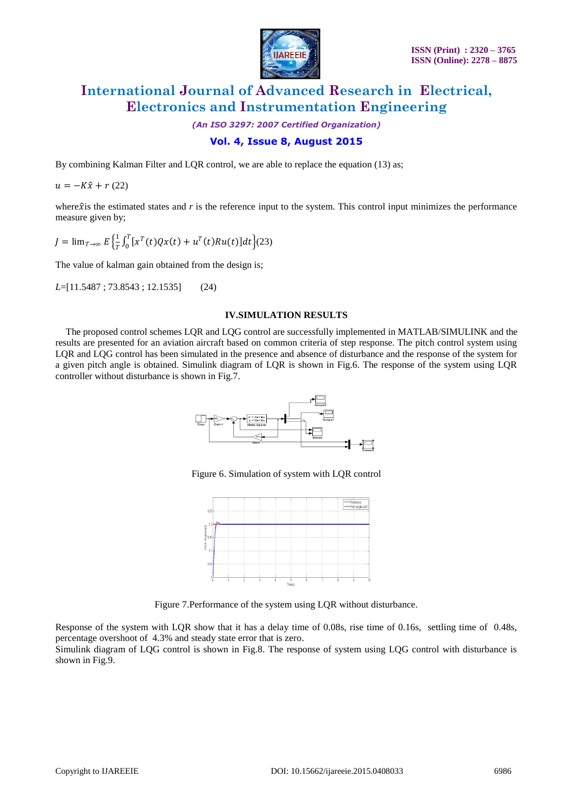

*(An ISO 3297: 2007 Certified Organization)*

### **Vol. 4, Issue 8, August 2015**

By combining Kalman Filter and LQR control, we are able to replace the equation (13) as;

 $u = -K\hat{x} + r(22)$ 

where  $\hat{x}$  is the estimated states and  $r$  is the reference input to the system. This control input minimizes the performance measure given by;

$$
J = \lim_{T \to \infty} E \left\{ \frac{1}{T} \int_0^T \left[ x^T(t) Q x(t) + u^T(t) R u(t) \right] dt \right\} (23)
$$

The value of kalman gain obtained from the design is;

*L*=[11.5487 ; 73.8543 ; 12.1535] (24)

### **IV.SIMULATION RESULTS**

The proposed control schemes LQR and LQG control are successfully implemented in MATLAB/SIMULINK and the results are presented for an aviation aircraft based on common criteria of step response. The pitch control system using LQR and LQG control has been simulated in the presence and absence of disturbance and the response of the system for a given pitch angle is obtained. Simulink diagram of LQR is shown in Fig.6. The response of the system using LQR controller without disturbance is shown in Fig.7.



Figure 6. Simulation of system with LQR control



Figure 7.Performance of the system using LQR without disturbance.

Response of the system with LQR show that it has a delay time of 0.08s, rise time of 0.16s, settling time of 0.48s, percentage overshoot of 4.3% and steady state error that is zero.

Simulink diagram of LQG control is shown in Fig.8. The response of system using LQG control with disturbance is shown in Fig.9.